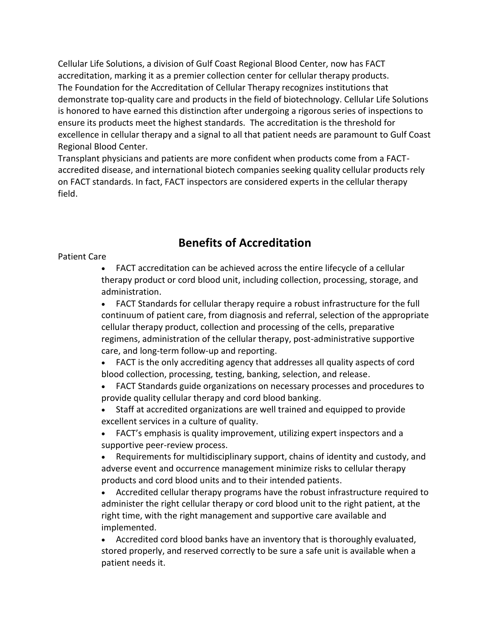Cellular Life Solutions, a division of Gulf Coast Regional Blood Center, now has FACT accreditation, marking it as a premier collection center for cellular therapy products. The Foundation for the Accreditation of Cellular Therapy recognizes institutions that demonstrate top-quality care and products in the field of biotechnology. Cellular Life Solutions is honored to have earned this distinction after undergoing a rigorous series of inspections to ensure its products meet the highest standards. The accreditation is the threshold for excellence in cellular therapy and a signal to all that patient needs are paramount to Gulf Coast Regional Blood Center.

Transplant physicians and patients are more confident when products come from a FACTaccredited disease, and international biotech companies seeking quality cellular products rely on FACT standards. In fact, FACT inspectors are considered experts in the cellular therapy field.

## **Benefits of Accreditation**

## Patient Care

• FACT accreditation can be achieved across the entire lifecycle of a cellular therapy product or cord blood unit, including collection, processing, storage, and administration.

• FACT Standards for cellular therapy require a robust infrastructure for the full continuum of patient care, from diagnosis and referral, selection of the appropriate cellular therapy product, collection and processing of the cells, preparative regimens, administration of the cellular therapy, post-administrative supportive care, and long-term follow-up and reporting.

• FACT is the only accrediting agency that addresses all quality aspects of cord blood collection, processing, testing, banking, selection, and release.

• FACT Standards guide organizations on necessary processes and procedures to provide quality cellular therapy and cord blood banking.

• Staff at accredited organizations are well trained and equipped to provide excellent services in a culture of quality.

• FACT's emphasis is quality improvement, utilizing expert inspectors and a supportive peer-review process.

• Requirements for multidisciplinary support, chains of identity and custody, and adverse event and occurrence management minimize risks to cellular therapy products and cord blood units and to their intended patients.

• Accredited cellular therapy programs have the robust infrastructure required to administer the right cellular therapy or cord blood unit to the right patient, at the right time, with the right management and supportive care available and implemented.

• Accredited cord blood banks have an inventory that is thoroughly evaluated, stored properly, and reserved correctly to be sure a safe unit is available when a patient needs it.